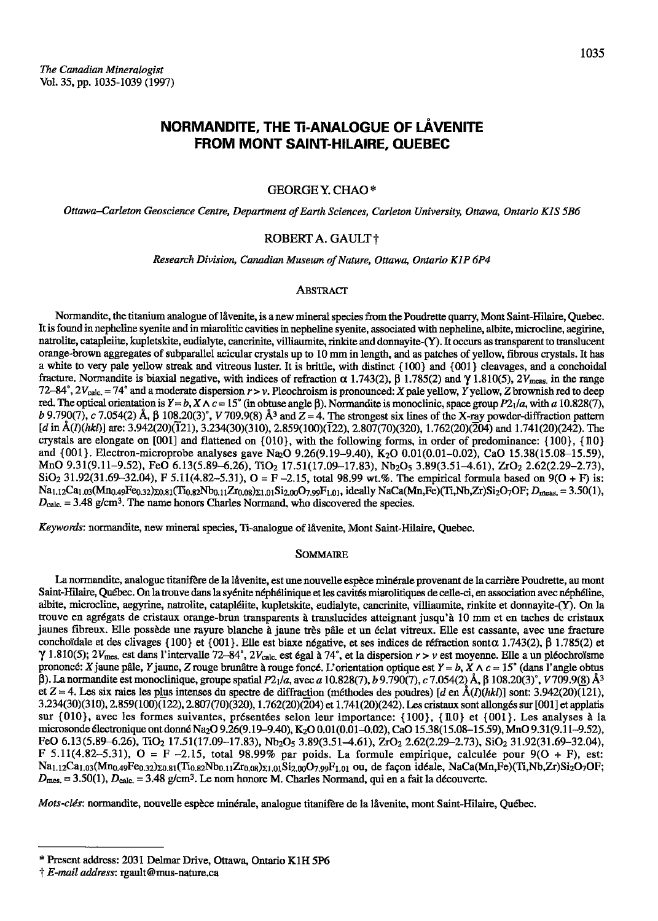# NORMANDITE, THE TI-ANALOGUE OF LÄVENITE **FROM MONT SAINT-HILAIRE, QUEBEC**

### **GEORGE Y. CHAO\***

Ottawa-Carleton Geoscience Centre, Department of Earth Sciences, Carleton University, Ottawa, Ontario KIS 5B6

### ROBERT A. GAULT+

Research Division, Canadian Museum of Nature, Ottawa, Ontario K1P 6P4

### **ABSTRACT**

Normandite, the titanium analogue of låvenite, is a new mineral species from the Poudrette quarry, Mont Saint-Hilaire, Quebec. It is found in nepheline syenite and in miarolitic cavities in nepheline syenite, associated with nepheline, albite, microcline, aegirine, natrolite, catapleiite, kupletskite, eudialyte, cancrinite, villiaumite, rinkite and donnayite-(Y). It occurs as transparent to translucent orange-brown aggregates of subparallel acicular crystals up to 10 mm in length, and as patches of yellow, fibrous crystals. It has a white to very pale yellow streak and vitreous luster. It is brittle, with distinct {100} and {001} cleavages, and a conchoidal fracture. Normandite is biaxial negative, with indices of refraction  $\alpha$  1.743(2),  $\beta$  1.785(2) and  $\gamma$  1.810(5), 2V<sub>meas</sub> in the range 72-84°,  $2V_{\text{calc.}}$  = 74° and a moderate dispersion  $r > v$ . Pleochroism is pronounced: X pale yellow, Y yellow, Z brownish red to deep red. The optical orientation is  $Y = b$ ,  $X \wedge c = 15^{\circ}$  (in obtuse angle  $\beta$ ). Normandite is monoclinic, space group  $P2_1/a$ , with a 10.828(7), b 9.790(7), c 7.054(2) Å,  $\beta$  108.20(3)°, V 709.9(8) Å<sup>3</sup> and Z = 4. The strongest six lines of the X-ray powder-diffraction pattern [d in  $A(I)(hkl)$ ] are: 3.942(20)(121), 3.234(30)(310), 2.859(100)(122), 2.807(70)(320), 1.762(20)(204) and 1.741(20)(242). The crystals are elongate on [001] and flattened on {010}, with the following forms, in order of predominance: {100}, {10} and {001}. Electron-microprobe analyses gave Na<sub>2</sub>O 9.26(9.19–9.40), K<sub>2</sub>O 0.01(0.01–0.02), CaO 15.38(15.08–15.59), MnO 9.31(9.11-9.52), FeO 6.13(5.89-6.26), TiO<sub>2</sub> 17.51(17.09-17.83), Nb<sub>2</sub>O<sub>5</sub> 3.89(3.51-4.61), ZrO<sub>2</sub> 2.62(2.29-2.73),  $SiO<sub>2</sub> 31.92(31.69-32.04)$ , F 5.11(4.82-5.31), O = F -2.15, total 98.99 wt.%. The empirical formula based on 9(O + F) is: Na<sub>1.12</sub>Ca<sub>1.03</sub>(Mn<sub>0.49</sub>Fe<sub>0.32</sub>)<sub>20.81</sub>(Ti<sub>0.82</sub>Nb<sub>0.11</sub>Zr<sub>0.08</sub>)<sub>21.01</sub>Si<sub>2.09</sub>O<sub>7.99</sub>F<sub>1.01</sub>, ideally NaCa(Mn,Fe)(Ti,Nb,Zr)Si<sub>2</sub>O<sub>7</sub>OF; D<sub>meas</sub> = 3.50(1),  $D_{\text{calc.}}$  = 3.48 g/cm<sup>3</sup>. The name honors Charles Normand, who discovered the species.

Keywords: normandite, new mineral species, Ti-analogue of lavenite, Mont Saint-Hilaire, Quebec.

### **SOMMAIRE**

La normandite, analogue titanifère de la låvenite, est une nouvelle espèce minérale provenant de la carrière Poudrette, au mont Saint-Hilaire, Québec. On la trouve dans la syénite néphélinique et les cavités miarolitiques de celle-ci, en association avec néphéline, albite, microcline, aegyrine, natrolite, catapléitte, kupletskite, eudialyte, cancrinite, villiaumite, rinkite et donnayite-(Y). On la trouve en agrégats de cristaux orange-brun transparents à translucides atteignant jusqu'à 10 mm et en taches de cristaux jaunes fibreux. Elle possède une rayure blanche à jaune très pâle et un éclat vitreux. Elle est cassante, avec une fracture conchoïdale et des clivages {100} et {001}. Elle est biaxe négative, et ses indices de réfraction sont  $\alpha$  1.743(2),  $\beta$  1.785(2) et  $\gamma$  1.810(5); 2V<sub>mes</sub>, est dans l'intervalle 72–84°, 2V<sub>calc</sub>, est égal à 74°, et la dispersion  $r > v$  est moyenne. Elle a un pléochroïsme prononcé: X jaune pâle, Y jaune, Z rouge brunâtre à rouge foncé. L'orientation optique est  $Y = b$ ,  $X \wedge c = 15^{\circ}$  (dans l'angle obtus β). La normandite est monoclinique, groupe spatial  $P_2$ <sub>1</sub>*a*, avec a 10.828(7), b 9.790(7), c 7.054(2) Å, β 108.20(3)°, V 709.9(8) Å<sup>3</sup> et Z = 4. Les six raies les plus intenses du spectre de diffraction (méthodes des poudres) [d en  $\hat{A}(I)(hkl)$ ] sont: 3.942(20)(121), 3.234(30)(310), 2.859(100)(122), 2.807(70)(320), 1.762(20)(204) et 1.741(20)(242). Les cristaux sont allongés sur [001] et applatis sur {010}, avec les formes suivantes, présentées selon leur importance: {100}, {10} et {001}. Les analyses à la microsonde électronique ont donné Na<sub>2</sub>O 9.26(9.19-9.40), K<sub>2</sub>O 0.01(0.01-0.02), CaO 15.38(15.08-15.59), MnO 9.31(9.11-9.52), FeO 6.13(5.89-6.26), TiO<sub>2</sub> 17.51(17.09-17.83), Nb<sub>2</sub>O<sub>5</sub> 3.89(3.51-4.61), ZrO<sub>2</sub> 2.62(2.29-2.73), SiO<sub>2</sub> 31.92(31.69-32.04), F 5.11(4.82-5.31), O = F -2.15, total 98.99% par poids. La formule empirique, calculée pour  $9(0 + F)$ , est: Na<sub>1.12</sub>Ca<sub>1.03</sub>(Mn<sub>0.49</sub>Fe<sub>0.32</sub>)<sub>Z0.81</sub>(Ti<sub>0.82</sub>Nb<sub>0.11</sub>Zr<sub>0.08</sub>)<sub>Z1.01</sub>Si<sub>2.00</sub>O<sub>7.99</sub>F<sub>1.01</sub> ou, de façon idéale, NaCa(Mn,Fe)(Ti,Nb,Zr)Si<sub>2</sub>O<sub>7</sub>OF;  $D_{\text{mes.}} = 3.50(1), D_{\text{calc.}} = 3.48$  g/cm<sup>3</sup>. Le nom honore M. Charles Normand, qui en a fait la découverte.

Mots-clés: normandite, nouvelle espèce minérale, analogue titanifère de la lâvenite, mont Saint-Hilaire, Québec.

<sup>\*</sup> Present address: 2031 Delmar Drive, Ottawa, Ontario K1H 5P6

<sup>†</sup> E-mail address: rgault@mus-nature.ca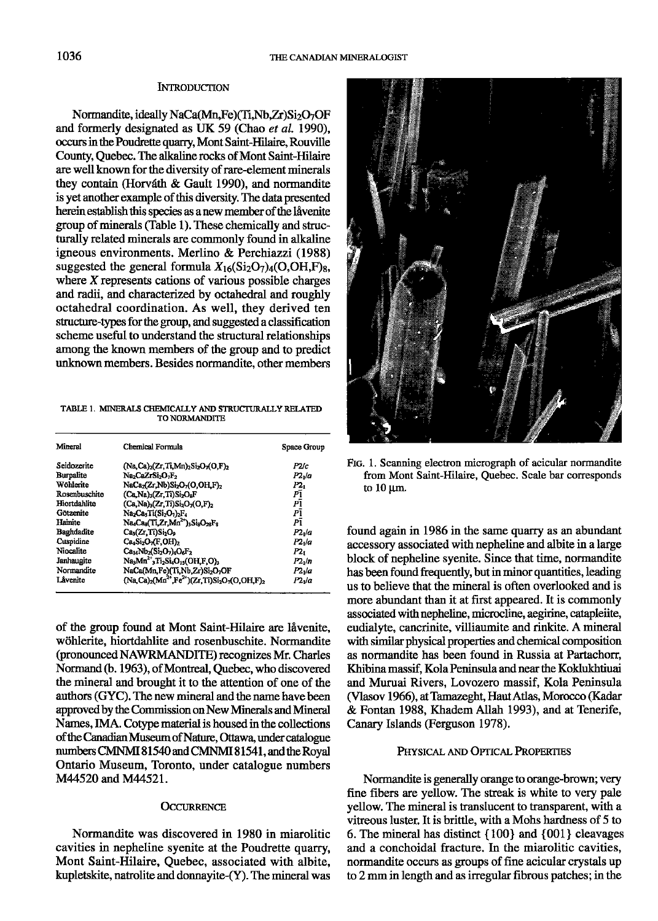#### **INTRODUCTION**

Normandite, ideally NaCa(Mn,Fe)(Ti,Nb,Zr)Si2O7OF and formerly designated as UK 59 (Chao et al. 1990), occurs in the Poudrette quarry, Mont Saint-Hilaire, Rouville County, Quebec. The alkaline rocks of Mont Saint-Hilaire are well known for the diversity of rare-element minerals they contain (Horváth & Gault 1990), and normandite is yet another example of this diversity. The data presented herein establish this species as a new member of the lavenite group of minerals (Table 1). These chemically and structurally related minerals are commonly found in alkaline igneous environments. Merlino & Perchiazzi (1988) suggested the general formula  $X_{16}(\text{Si}_2\text{O}_7)_4(\text{O},\text{OH},\text{F})_8$ , where  $X$  represents cations of various possible charges and radii, and characterized by octahedral and roughly octahedral coordination. As well, they derived ten structure-types for the group, and suggested a classification scheme useful to understand the structural relationships among the known members of the group and to predict unknown members. Besides normandite, other members

TABLE 1. MINERALS CHEMICALLY AND STRUCTURALLY RELATED TO NORMANDITE

| Mineral           | Chemical Formula                                                                                                      | <b>Space Group</b> |
|-------------------|-----------------------------------------------------------------------------------------------------------------------|--------------------|
| Seidozerite       | $(Na,Ca)_{2}(Zr,Ti,Mn)_{2}Si_{2}O_{7}(O,F)_{2}$                                                                       | P2/c               |
| <b>Burpalite</b>  | Na <sub>2</sub> CaZrSi <sub>2</sub> O <sub>2F2</sub>                                                                  | P2 la              |
| Wöhlerite         | NaCa <sub>2</sub> (Zr,Nb)Si <sub>2</sub> O <sub>7</sub> (O,OH,F) <sub>2</sub>                                         | P2.                |
| Rosenbuschite     | (Ca,Na) <sub>3</sub> (Zr,Ti)Si <sub>2</sub> O <sub>8</sub> F                                                          | ΡĪ                 |
| Hiortdahlite      | $(Ca,Na)_{3}(Zr,Ti)Si_{2}O_{7}(O,F)_{2}$                                                                              | ΡĪ                 |
| Götzenite         | Na <sub>2</sub> Ca <sub>3</sub> Ti(Si <sub>2</sub> O <sub>1</sub> ) <sub>2</sub> F <sub>4</sub>                       | PĪ                 |
| Hainite           | Na <sub>s</sub> Ca <sub>s</sub> (Ti,Zr,Mn <sup>2+</sup> ) <sub>3</sub> Si <sub>s</sub> O <sub>28</sub> F <sub>s</sub> | Ρī                 |
| <b>Baghdadite</b> | Ca <sub>3</sub> (Zr,Ti)Si <sub>2</sub> O <sub>9</sub>                                                                 | $P21$ /a           |
| Cuspidine         | $Ca4Si2O7(F,OH)2$                                                                                                     | P2./a              |
| Niocalite         | $Ca_{14}Nb_{2}(Si_{2}O_{7})_{4}O_{6}F_{2}$                                                                            | P2,                |
| Janhaugite        | $Na3Mn2+3Ti2Si4O13(OH,F,O)3$                                                                                          | $P2_1/n$           |
| Normandite        | NaCa(Mn,Fe)(Ti,Nb,Zr)Si <sub>2</sub> O <sub>7</sub> OF                                                                | $P21$ /a           |
| Lâvenite          | $(Na, Ca)_2(Ma^{2+}Fe^{2+})(Zr, Ti)Si_2O_7(O, OH, F)_2$                                                               | P2 <sub>1</sub> /a |

of the group found at Mont Saint-Hilaire are låvenite, wöhlerite, hiortdahlite and rosenbuschite. Normandite (pronounced NAWRMANDITE) recognizes Mr. Charles Normand (b. 1963), of Montreal, Quebec, who discovered the mineral and brought it to the attention of one of the authors (GYC). The new mineral and the name have been approved by the Commission on New Minerals and Mineral Names, IMA. Cotype material is housed in the collections of the Canadian Museum of Nature, Ottawa, under catalogue numbers CMNMI 81540 and CMNMI 81541, and the Royal Ontario Museum, Toronto, under catalogue numbers M44520 and M44521.

### **OCCURRENCE**

Normandite was discovered in 1980 in miarolitic cavities in nepheline syenite at the Poudrette quarry, Mont Saint-Hilaire, Quebec, associated with albite, kupletskite, natrolite and donnayite-(Y). The mineral was



FIG. 1. Scanning electron micrograph of acicular normandite from Mont Saint-Hilaire, Quebec. Scale bar corresponds to  $10 \mu m$ .

found again in 1986 in the same quarry as an abundant accessory associated with nepheline and albite in a large block of nepheline syenite. Since that time, normandite has been found frequently, but in minor quantities, leading us to believe that the mineral is often overlooked and is more abundant than it at first appeared. It is commonly associated with nepheline, microcline, aegirine, catapleiite, eudialyte, cancrinite, villiaumite and rinkite. A mineral with similar physical properties and chemical composition as normandite has been found in Russia at Partachorr. Khibina massif. Kola Peninsula and near the Koklukhtiuai and Muruai Rivers, Lovozero massif, Kola Peninsula (Vlasov 1966), at Tamazeght, Haut Atlas, Morocco (Kadar & Fontan 1988, Khadem Allah 1993), and at Tenerife, Canary Islands (Ferguson 1978).

### PHYSICAL AND OPTICAL PROPERTIES

Normandite is generally orange to orange-brown; very fine fibers are yellow. The streak is white to very pale yellow. The mineral is translucent to transparent, with a vitreous luster. It is brittle, with a Mohs hardness of 5 to 6. The mineral has distinct  $\{100\}$  and  $\{001\}$  cleavages and a conchoidal fracture. In the miarolitic cavities, normandite occurs as groups of fine acicular crystals up to 2 mm in length and as irregular fibrous patches; in the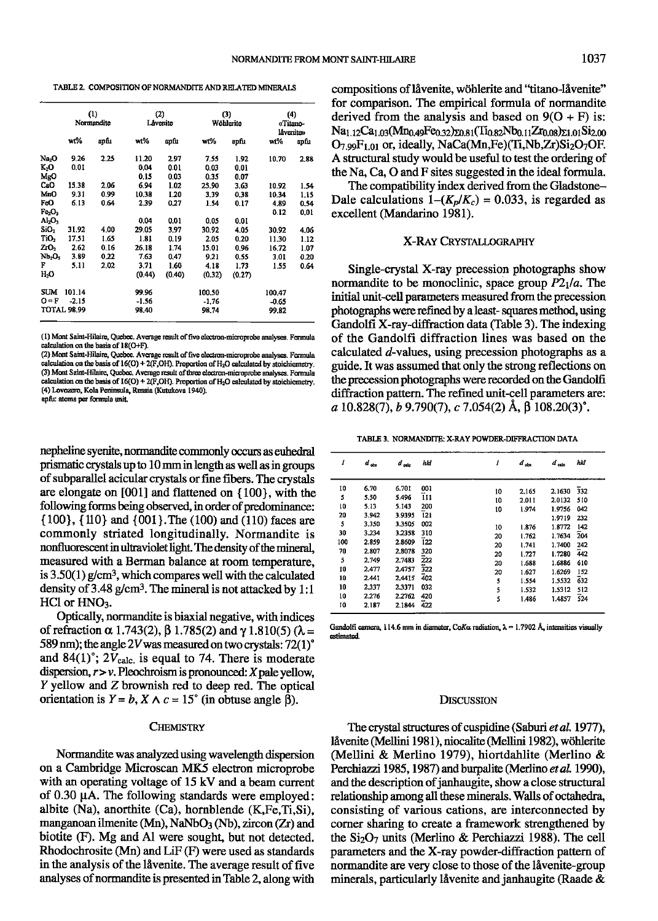|                                | (1)<br>Normandite  |      | (2)<br>Lâvenito |        | (3)<br>Wöhlerite |        | (4)<br>«Titano-<br>lavento» |      |
|--------------------------------|--------------------|------|-----------------|--------|------------------|--------|-----------------------------|------|
|                                | wt%                | apfu | wt%             | apfu   | wt%              | apfu   | wt%                         | apfu |
| Na <sub>2</sub> O              | 9.26               | 2.25 | 11.20           | 2.97   | 7.55             | 1.92   | 10.70                       | 2.88 |
| K.O                            | 0.01               |      | 0.04            | 0.01   | 0.03             | 0.01   |                             |      |
| MgO                            |                    |      | 0.15            | 0.03   | 0.35             | 0.07   |                             |      |
| CaO                            | 15.38              | 2.06 | 6.94            | 1.02   | 25.90            | 3.63   | 10.92                       | 1.54 |
| MnO                            | 9.31               | 0.99 | 10.38           | 1.20   | 3.39             | 0.38   | 10.34                       | 1.15 |
| FcO                            | 6.13               | 0.64 | 2.39            | 0.27   | 1.54             | 0.17   | 4.89                        | 0.54 |
| Fe <sub>2</sub> O <sub>3</sub> |                    |      |                 |        |                  |        | 0.12                        | 0.01 |
| $\mathrm{Al}_2\mathrm{O}_3$    |                    |      | 0.04            | 0.01   | 0.05             | 0.01   |                             |      |
| SiO <sub>2</sub>               | 31.92              | 4.00 | 29.05           | 3.97   | 30.92            | 4.05   | 30.92                       | 4.06 |
| TiO <sub>2</sub>               | 17.51              | 1.65 | 1.81            | 0.19   | 2.05             | 0.20   | 11.30                       | 1.12 |
| ZrO <sub>2</sub>               | 2.62               | 0.16 | 26.18           | 1.74   | 15.01            | 0.96   | 16.72                       | 1.07 |
| Nb <sub>2</sub> O <sub>5</sub> | 3.89               | 0.22 | 7.63            | 0.47   | 9.21             | 0.55   | 3.01                        | 0.20 |
| F                              | 5.11               | 2.02 | 3.71            | 1.60   | 4.18             | 1.73   | 1.55                        | 0.64 |
| H,O                            |                    |      | (0.44)          | (0.40) | (0.32)           | (0.27) |                             |      |
| <b>SUM</b>                     | 101.14             |      | 99.96           |        | 100.50           |        | 100.47                      |      |
| $O = F$                        | $-2.15$            |      | $-1.56$         |        | $-1.76$          |        | $-0.65$                     |      |
|                                | <b>TOTAL 98.99</b> |      | 98,40           |        | 98.74            |        | 99.82                       |      |

(1) Mont Saint-Hilaire, Quebec. Average result of five electron-microprobe analyses. Formula calculation on the basis of 18(O+F).

(2) Mont Saint-Hilaire, Quebec. Average result of five electron-microprobe analyses. Formula calculation on the basis of 16(O) + 2(F,OH). Proportion of H<sub>2</sub>O calculated by stoichiometr<br>(3) Mont Saint-Hilaire, Quebec. Average result of three electron-microprobe analyses. Formu  $\frac{1}{2}$  declination on the basis of 16(O) + 2(F,OH). Proportion of H<sub>2</sub>O calculated by stoichiometry. (4) Lovozero, Kola Peninsula, Russia (Kutukova 1940). apfu: atoms per formula unit.

nepheline syenite, normandite commonly occurs as euhedral prismatic crystals up to l0 mm ia length as well as in groups of subparallel acicular crystals or fine fibers. The crystals are elongate on [001] and flattened on {100}, with the following forms being observed, in order of predominance: {100}, {110} and {001}.The (100) and (110) faces are commonly striated longitudinally. Normandite is nonfluorescent in ultraviolet light. The density of the mineral, measured with a Berman balance at room temperature, is  $3.50(1)$  g/cm<sup>3</sup>, which compares well with the calculated density of  $3.48$  g/cm<sup>3</sup>. The mineral is not attacked by 1:1  $HCI$  or  $HNO<sub>3</sub>$ .

Optically, normandite is biaxial negative, with indices of refraction  $\alpha$  1.743(2),  $\beta$  1.785(2) and  $\gamma$  1.810(5) ( $\lambda =$ 589 nm); the angle 2V was measured on two crystals:  $72(1)^\circ$ and 84 $(1)$ °; 2 $V_{\text{calc.}}$  is equal to 74. There is moderate dispersion,  $r > v$ . Pleochroism is pronounced: X pale yellow,  $Y$  yellow and  $Z$  brownish red to deep red. The optical orientation is  $Y = b$ ,  $X \wedge c = 15^{\circ}$  (in obtuse angle  $\hat{\beta}$ ).

### **CHEMISTRY**

Normandite was analyzed using wavelength dispersion on a Cambridge Microscan MK5 electron microprobe with an operating voltage of 15 kV and a beam current of  $0.30 \mu A$ . The following standards were employed: albite (Na), anorthite (Ca), hornblende (K, Fe, Ti, Si), manganoan ilmenite (Mn), NaNbO<sub>3</sub> (Nb), zircon (Zr) and biotite (F). Mg and Al were sought, but not detected. Rhodochrosite (Mn) and LiF (F) were used as standards in the analysis of the låvenite. The average result of five analyses of normandite is presented in Table 2, along with

TABLE 2. COMPOSITION OF NORMANDITE AND RELATED MINERALS compositions of låvenite, wöhlerite and "titano-låvenite" for comparison. The empirical formula of normandite derived from the analysis and based on  $9(O + F)$  is:  $Na<sub>1.12</sub>Ca<sub>1.03</sub>(Mn<sub>0.49</sub>Fe<sub>0.32</sub>)<sub>20.81</sub>(Ti<sub>0.82</sub>Nb<sub>0.11</sub>Zr<sub>0.08</sub>)<sub>21.01</sub>Si<sub>2.00</sub>$  $O_{7.99}F_{1.01}$  or, ideally, NaCa(Mn,Fe)(Ti,Nb,Zr)Si<sub>2</sub>O<sub>7</sub>OF. A structural study would be useful to test the ordering of the Na, Ca, O and F sites suggested in the ideal formula.

> The compatibility index derived from the Gladstone-Dale calculations  $1-(K_p/K_c) = 0.033$ , is regarded as excellent (Mandarino 1981).

## X-RAY CRYSTALLOGRAPHY

Single-crystal X-ray precession photographs show normandite to be monoclinic, space group  $P2_1/a$ . The initial unit-cell parameters measured from the precession photographs were refined by a least-squares method, using Gandolfi X-ray-diftaction data (Table 3). The indexing of the Gandolfi diffraction lines was based on the calculated d-values, using precession photographs as a guide. It was assumed that only the strong reflections on the precession photograpbs were recorded on the Gandolfi diffraction pattern. The refined unit-cell parameters are: a  $10.828(7)$ , b  $9.790(7)$ , c  $7.054(2)$  Å,  $\beta$   $108.20(3)$ °.

TABLE 3. NORMANDITE: X-RAY POWDER-DIFFRACTION DATA

| I                                                                              | $d_{obs}$                                                                                                               | $d_{abc}$                                                                                                                             | hhl                                                                                           | ı                                                                 | $d_{obs}$                                                                                                | $d_{ab}$                                                                                                                       | hld                                                                                     |
|--------------------------------------------------------------------------------|-------------------------------------------------------------------------------------------------------------------------|---------------------------------------------------------------------------------------------------------------------------------------|-----------------------------------------------------------------------------------------------|-------------------------------------------------------------------|----------------------------------------------------------------------------------------------------------|--------------------------------------------------------------------------------------------------------------------------------|-----------------------------------------------------------------------------------------|
| 10<br>5<br>10<br>20<br>5<br>30<br>100<br>70<br>5<br>10<br>10<br>10<br>10<br>10 | 6.70<br>5.50<br>5.13<br>3.942<br>3.350<br>3.234<br>2.859<br>2.807<br>2,749<br>2.477<br>2.441<br>2.337<br>2.276<br>2.187 | 6.701<br>5.496<br>5.143<br>3.9395<br>3.3505<br>3.2358<br>2.8609<br>2,8078<br>2,7483<br>2.4757<br>2.4415<br>2.3371<br>2.2762<br>2.1844 | 001<br>īп<br>200<br>121<br>002<br>310<br>122<br>320<br>222<br>322<br>402<br>032<br>420<br>422 | 10<br>10<br>10<br>10<br>20<br>20<br>20<br>20<br>20<br>5<br>5<br>5 | 2.165<br>2.011<br>1.974<br>1.876<br>1.762<br>1.741<br>1.727<br>1.688<br>1.627<br>1.554<br>1.532<br>1.486 | 2.1630<br>2.0132<br>1.9756<br>1.9719<br>1.8772<br>1.7634<br>1.7400<br>1.7280<br>1.6886<br>1.6269<br>1.5532<br>1.5312<br>1.4857 | 332<br>510<br>042<br>232<br>142<br>204<br>242<br>442<br>610<br>152<br>632<br>512<br>524 |
|                                                                                |                                                                                                                         |                                                                                                                                       |                                                                                               |                                                                   |                                                                                                          |                                                                                                                                |                                                                                         |

Gandolfi camera, 114.6 mm in diameter, CoK $\alpha$  radiation,  $\lambda = 1.7902$  Å, intensities visually estimated

#### DISCUSSION

The crystal structures of cuspidine (Saburi et al. 1977), låvenite (Mellini 1981), niocalite (Mellini 1982), wöhlerite (Mellini & Merlino 1979), hiortdahlite (Merlino & Perchiazzi 1985, 1987) and burpalite (Merlino et al. 1990), and the description of janhaugite, show a close structural relationship among all these minerals. WaIs of octahedra, consisting of various cations, are interconnected by corner sharing to create a framework stengthened by the  $Si<sub>2</sub>O<sub>7</sub>$  units (Merlino & Perchiazzi 1988). The cell parameters and the X-ray powder-diftaction pattern of normandite are very close to those of the låvenite-group minerals, particularly lavenite and janhaugite (Raade  $\&$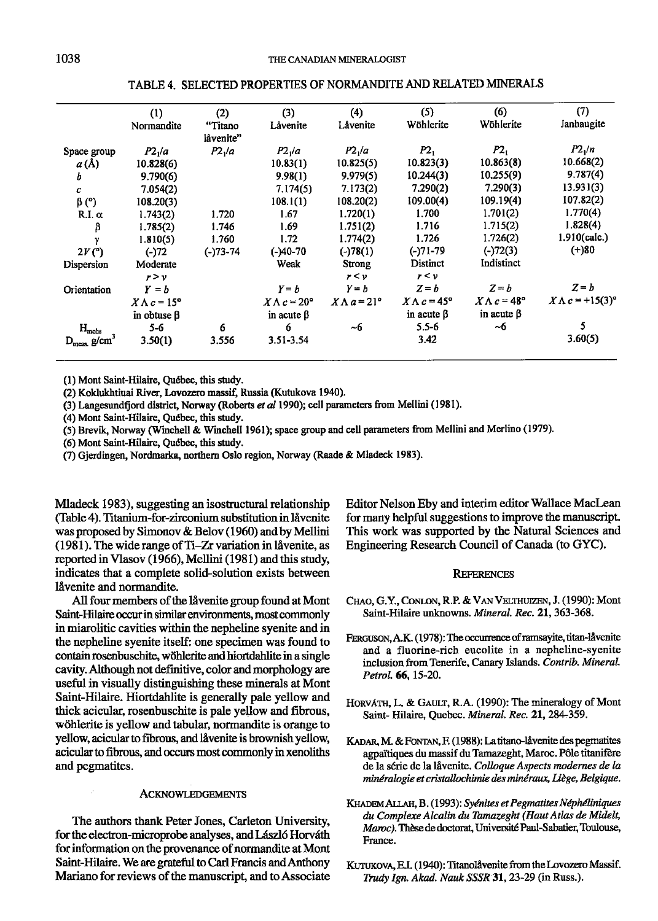|                            | (1)                       | (2)                | (3)                       | (4)                       | (5)                       | (6)                       | (7)                      |
|----------------------------|---------------------------|--------------------|---------------------------|---------------------------|---------------------------|---------------------------|--------------------------|
|                            | Normandite                | "Titano            | Låvenite                  | Låvenite                  | Wöhlerite                 | Wöhlerite                 | Janhaugite               |
|                            |                           | låvenite"          |                           |                           |                           |                           |                          |
| Space group                | P2 <sub>1</sub> /a        | P2 <sub>1</sub> /a | P2 <sub>1</sub> /a        | P2 <sub>1</sub> /a        | P2 <sub>1</sub>           | P2 <sub>1</sub>           | $P2\sqrt{n}$             |
| a(A)                       | 10.828(6)                 |                    | 10.83(1)                  | 10.825(5)                 | 10.823(3)                 | 10.863(8)                 | 10.668(2)                |
| b                          | 9.790(6)                  |                    | 9.98(1)                   | 9.979(5)                  | 10.244(3)                 | 10.255(9)                 | 9.787(4)                 |
| c.                         | 7.054(2)                  |                    | 7.174(5)                  | 7.173(2)                  | 7.290(2)                  | 7.290(3)                  | 13.931(3)                |
| $\beta$ (°)                | 108.20(3)                 |                    | 108.1(1)                  | 108.20(2)                 | 109.00(4)                 | 109.19(4)                 | 107.82(2)                |
| R.I. $\alpha$              | 1.743(2)                  | 1.720              | 1.67                      | 1.720(1)                  | 1.700                     | 1.701(2)                  | 1.770(4)                 |
| β                          | 1.785(2)                  | 1.746              | 1.69                      | 1.751(2)                  | 1.716                     | 1.715(2)                  | 1.828(4)                 |
| γ                          | 1.810(5)                  | 1.760              | 1.72                      | 1.774(2)                  | 1.726                     | 1.726(2)                  | 1.910(calc.)             |
| 2V(°)                      | $(-)72$                   | $(-)73 - 74$       | (-)40-70                  | $(-)78(1)$                | (-)71-79                  | $(-)72(3)$                | $(+)80$                  |
| Dispersion                 | Moderate                  |                    | Weak                      | Strong                    | <b>Distinct</b>           | Indistinct                |                          |
|                            | r > v                     |                    |                           | r < v                     | r < v                     |                           |                          |
| Orientation                | $Y = b$                   |                    | $Y = b$                   | $Y = b$                   | $Z = b$                   | $Z = b$                   | $Z = b$                  |
|                            | $X \wedge c = 15^{\circ}$ |                    | $X \wedge c = 20^{\circ}$ | $X \wedge a = 21^{\circ}$ | $X \wedge c = 45^{\circ}$ | $X \wedge c = 48^{\circ}$ | $X \Lambda c = +15(3)$ ° |
|                            | in obtuse $\beta$         |                    | in acute $\beta$          |                           | in acute $\beta$          | in acute $\beta$          |                          |
| $\mathbf{H}_{\text{mohs}}$ | $5 - 6$                   | 6                  | 6                         | ~6                        | $5.5 - 6$                 | ~6                        |                          |
| $D_{\text{meas}}$ g/cm     | 3.50(1)                   | 3.556              | 3.51-3.54                 |                           | 3.42                      |                           | 3.60(5)                  |

TABLE 4. SELECTED PROPERTIES OF NORMANDITE AND RELATED MIMRALS

(1) Mont Saint-Hilaire, Québec, this study.

(2) Koklukhtiuai River, Lovozero massif, Russia (Kutukova 1940).

(3) Langesundfjord district, Norway (Roberts et al 1990); cell parameters from Mellini (1981).

(4) Mont Saint-Hilaire, Qudbec, this study.

(5) Brevih Norway (Winchell & Winchell l96l); space group and cell parameters from Mellini and Merlino (1979).

(6) Mont Saint-Hilaire, Ouébec, this study.

(7) Gjerdingen, Nordmarka, northern Oslo region, Norway (Raade & Mladeck 1983).

Mladeck 1983), suggesting an isostructural relationship (Table 4). Titanium-for-zirconium substitution in låvenite was proposed by Simonov & Belov (1960) and by Mellini (1981). The wide range of Ti-Zr variation in lavenite, as reported in Vlasov (1966), Mellini (1981) and this study, indicates that a complete solid-solution exists between låvenite and normandite.

All four members of the låvenite group found at Mont Saint-Hilaire occur in similar environments, most commonly in miarolitic cavities within the nepheline syenite and in the nepheline syenite iself: one specimen was found to contain rosenbuschite, wöhlerite and hiortdahlite in a single cavity. Although not definitive, color and morphology are useful in visually distinguishing these minerals at Mont Saint-Hilaire. Hiortdablite is generally pale yellow and thick acicular, rosenbuschite is pale yellow and fibrous, wöhlerite is yellow and tabular, normandite is orange to yellow, acicular to fibrous, and låvenite is brownish yellow, acicular to fibrous, and occurs most commonly in xenoliths and pegmatites.

# **ACKNOWLEDGEMENTS**

The authors thank Peter Jones, Carleton University, for the electron-microprobe analyses, and László Horváth for information on the provenance of normandite at Mont Saint-Hilaire. We are grateful to Carl Francis and Anthony Mariano for reviews of the manuscript, and to Associate Editor Nelson Eby and interim editor Wallace MacLean for many helpful suggestions to improve the manuscripL This work was supported by the Natural Sciences and Engineering Research Council of Canada (to GYC).

### **REFERENCES**

- CHAO, G.Y., CONLON, R.P. & VAN VELTHUIZEN, J. (1990): Mont Saint-Hilaire unknowns. Mineral. Rec. 21, 363-368.
- FERGUSON, A.K. (1978): The occurrence of ramsayite, titan-låvenite and a fluorine-rich eucolite in a nepheline-syenite inclusion from Tenerife, Canary Islands. Contrib. Mineral. Petrol. 66, 15-20.
- HORVÁTH, L. & GAULT, R.A. (1990): The mineralogy of Mont Saint- Hilaire, Quebec. Mineral. Rec. 21, 284-359.
- KADAR, M. & FONTAN, F. (1988): La titano-låvenite des pegmatites agpaitiques du massif du Tamazeght, Maroc. Pdle titanifdre de la série de la låvenite, Colloque Aspects modernes de la minéralogie et cristallochimie des minéraux, Liège, Belgique.
- KHADEM ALLAH, B. (1993): Syénites et Pegmatites Néphéliniques du Complexe Alcalin du Tamazeght (Haut Atlas de Midelt, Maroc). Thèse de doctorat, Université Paul-Sabatier, Toulouse, France.
- KUTUKOVA, E.I. (1940): Titanolåvenite from the Lovozero Massif. Trudy Ign. Akad. Nauk SSSR 31, 23-29 (in Russ.).